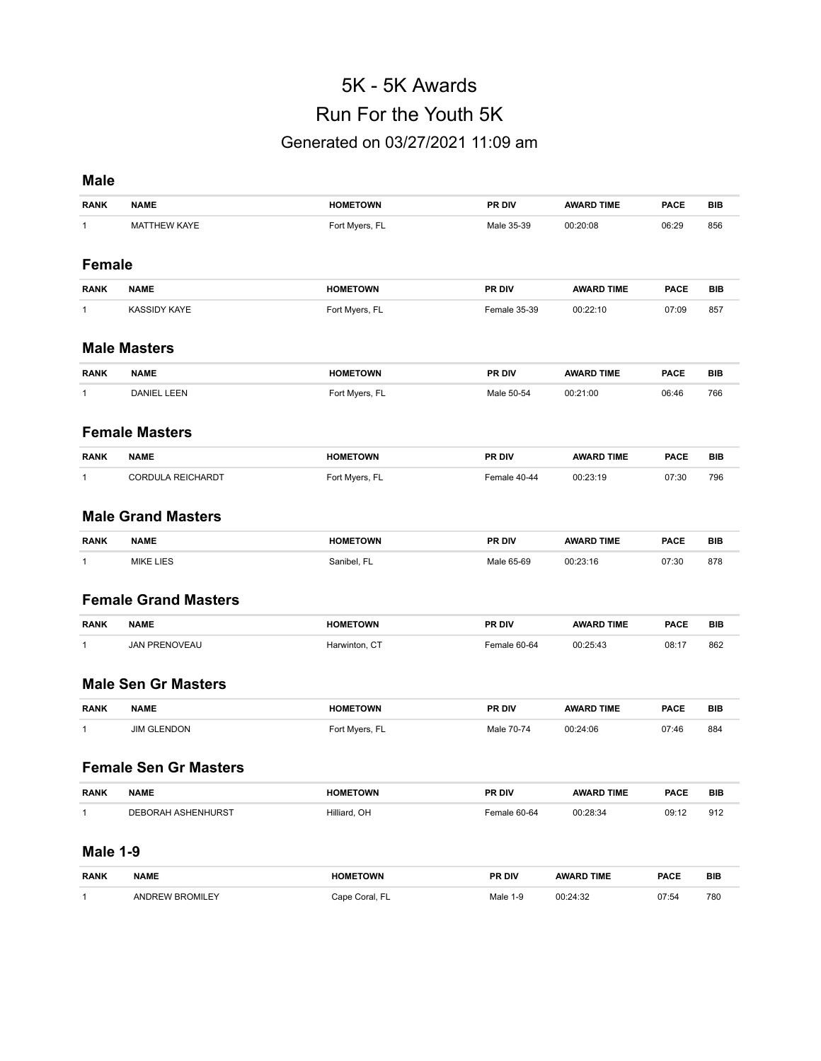# 5K - 5K Awards Run For the Youth 5K Generated on 03/27/2021 11:09 am

# **Male**

| <b>RANK</b>     | <b>NAME</b>                  | <b>HOMETOWN</b> | PR DIV       | <b>AWARD TIME</b> | <b>PACE</b> | <b>BIB</b> |
|-----------------|------------------------------|-----------------|--------------|-------------------|-------------|------------|
|                 |                              |                 |              |                   |             |            |
| 1               | <b>MATTHEW KAYE</b>          | Fort Myers, FL  | Male 35-39   | 00:20:08          | 06:29       | 856        |
|                 |                              |                 |              |                   |             |            |
| <b>Female</b>   |                              |                 |              |                   |             |            |
| <b>RANK</b>     | <b>NAME</b>                  | <b>HOMETOWN</b> | PR DIV       | <b>AWARD TIME</b> | <b>PACE</b> | <b>BIB</b> |
| 1               | <b>KASSIDY KAYE</b>          | Fort Myers, FL  | Female 35-39 | 00:22:10          | 07:09       | 857        |
|                 |                              |                 |              |                   |             |            |
|                 | <b>Male Masters</b>          |                 |              |                   |             |            |
| <b>RANK</b>     | <b>NAME</b>                  | <b>HOMETOWN</b> | PR DIV       | <b>AWARD TIME</b> | <b>PACE</b> | <b>BIB</b> |
| 1               | <b>DANIEL LEEN</b>           | Fort Myers, FL  | Male 50-54   | 00:21:00          | 06:46       | 766        |
|                 |                              |                 |              |                   |             |            |
|                 | <b>Female Masters</b>        |                 |              |                   |             |            |
|                 |                              |                 |              |                   |             |            |
| <b>RANK</b>     | <b>NAME</b>                  | <b>HOMETOWN</b> | PR DIV       | <b>AWARD TIME</b> | <b>PACE</b> | <b>BIB</b> |
| 1               | CORDULA REICHARDT            | Fort Myers, FL  | Female 40-44 | 00:23:19          | 07:30       | 796        |
|                 |                              |                 |              |                   |             |            |
|                 | <b>Male Grand Masters</b>    |                 |              |                   |             |            |
| <b>RANK</b>     | <b>NAME</b>                  | <b>HOMETOWN</b> | PR DIV       | <b>AWARD TIME</b> | <b>PACE</b> | <b>BIB</b> |
| 1               | <b>MIKE LIES</b>             | Sanibel, FL     | Male 65-69   | 00:23:16          | 07:30       | 878        |
|                 |                              |                 |              |                   |             |            |
|                 | <b>Female Grand Masters</b>  |                 |              |                   |             |            |
| <b>RANK</b>     | <b>NAME</b>                  | <b>HOMETOWN</b> | PR DIV       | <b>AWARD TIME</b> | <b>PACE</b> | <b>BIB</b> |
|                 |                              |                 |              |                   |             |            |
| 1               | <b>JAN PRENOVEAU</b>         | Harwinton, CT   | Female 60-64 | 00:25:43          | 08:17       | 862        |
|                 |                              |                 |              |                   |             |            |
|                 | <b>Male Sen Gr Masters</b>   |                 |              |                   |             |            |
| <b>RANK</b>     | <b>NAME</b>                  | <b>HOMETOWN</b> | PR DIV       | <b>AWARD TIME</b> | <b>PACE</b> | <b>BIB</b> |
| 1               | <b>JIM GLENDON</b>           | Fort Myers, FL  | Male 70-74   | 00:24:06          | 07:46       | 884        |
|                 |                              |                 |              |                   |             |            |
|                 | <b>Female Sen Gr Masters</b> |                 |              |                   |             |            |
| RANK            | <b>NAME</b>                  | <b>HOMETOWN</b> | PR DIV       | <b>AWARD TIME</b> | <b>PACE</b> | <b>BIB</b> |
| $\mathbf{1}$    | DEBORAH ASHENHURST           | Hilliard, OH    | Female 60-64 | 00:28:34          | 09:12       | 912        |
|                 |                              |                 |              |                   |             |            |
| <b>Male 1-9</b> |                              |                 |              |                   |             |            |
| <b>RANK</b>     | <b>NAME</b>                  | <b>HOMETOWN</b> | PR DIV       | <b>AWARD TIME</b> | <b>PACE</b> | BIB        |
| $\mathbf{1}$    | ANDREW BROMILEY              | Cape Coral, FL  | Male 1-9     | 00:24:32          | 07:54       | 780        |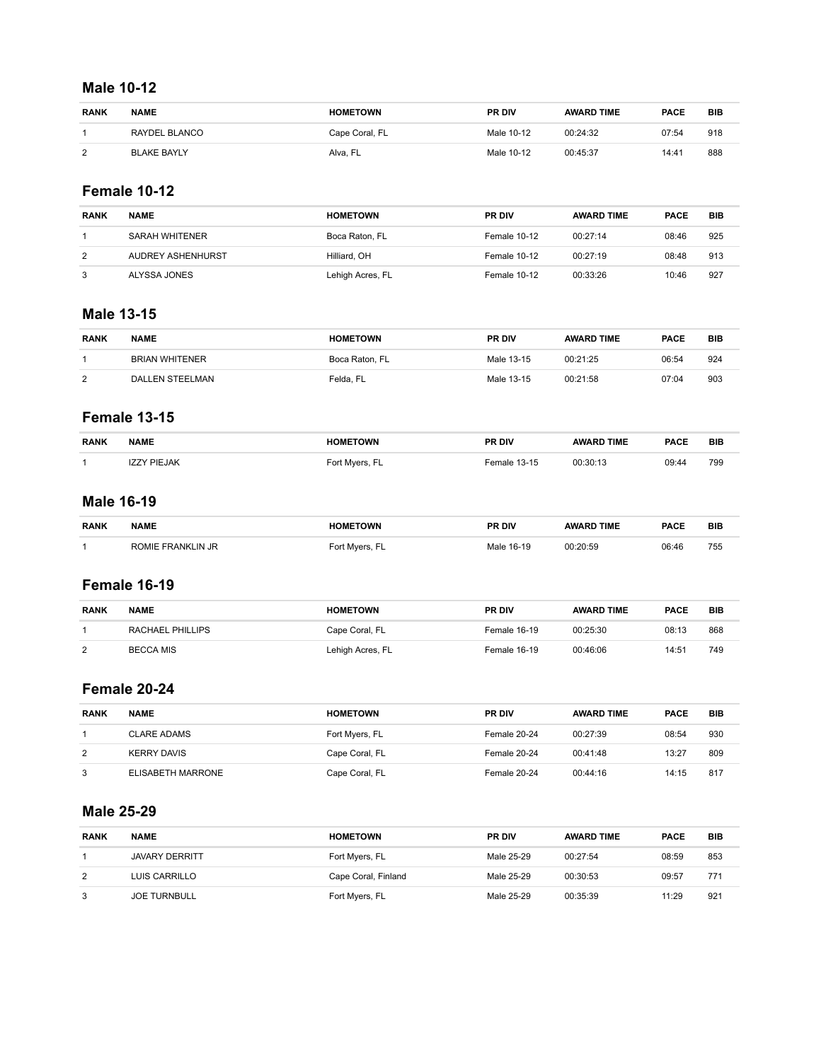#### **Male 10-12**

| <b>RANK</b>    | <b>NAME</b>        | <b>HOMETOWN</b> | <b>PR DIV</b> | <b>AWARD TIME</b> | <b>PACE</b> | <b>BIB</b> |
|----------------|--------------------|-----------------|---------------|-------------------|-------------|------------|
|                | RAYDEL BLANCO      | Cape Coral, FL  | Male 10-12    | 00:24:32          | 07:54       | 918        |
| $\overline{2}$ | <b>BLAKE BAYLY</b> | Alva, FL        | Male 10-12    | 00:45:37          | 14:41       | 888        |

### **Female 10-12**

| <b>RANK</b> | <b>NAME</b>       | <b>HOMETOWN</b>  | <b>PR DIV</b> | <b>AWARD TIME</b> | <b>PACE</b> | BIB |
|-------------|-------------------|------------------|---------------|-------------------|-------------|-----|
|             | SARAH WHITENER    | Boca Raton, FL   | Female 10-12  | 00:27:14          | 08:46       | 925 |
| 2           | AUDREY ASHENHURST | Hilliard, OH     | Female 10-12  | 00:27:19          | 08:48       | 913 |
|             | ALYSSA JONES      | Lehigh Acres, FL | Female 10-12  | 00:33:26          | 10:46       | 927 |

## **Male 13-15**

| <b>RANK</b> | <b>NAME</b>           | <b>HOMETOWN</b> | <b>PR DIV</b> | <b>AWARD TIME</b> | <b>PACE</b> | <b>BIB</b> |
|-------------|-----------------------|-----------------|---------------|-------------------|-------------|------------|
|             | <b>BRIAN WHITENER</b> | Boca Raton, FL  | Male 13-15    | 00:21:25          | 06:54       | 924        |
| っ           | DALLEN STEELMAN       | Felda, FL       | Male 13-15    | 00:21:58          | 07:04       | 903        |

# **Female 13-15**

| <b>RANK</b> | <b>NAME</b>        | <b>HOMETOWN</b> | PR DIV       | <b>AWARD TIME</b> | <b>PACE</b> | <b>BIB</b> |
|-------------|--------------------|-----------------|--------------|-------------------|-------------|------------|
|             | <b>IZZY PIEJAK</b> | Fort Mvers, FL  | Female 13-15 | 00:30:13          | 09:44       | 799        |

# **Male 16-19**

| <b>RANK</b> | <b>NAME</b>          | $\Delta$ VAID<br>the contract of the contract of the contract of the contract of the contract of the contract of the contract of | <b>PR DIV</b> | TIME       | <b>PACE</b> | BIB             |
|-------------|----------------------|----------------------------------------------------------------------------------------------------------------------------------|---------------|------------|-------------|-----------------|
|             | -IE<br>on:<br>A NI L |                                                                                                                                  |               | 20.50<br>. | 06:46<br>.  | フムー<br>ں ر<br>. |

### **Female 16-19**

| <b>RANK</b>    | <b>NAME</b>      | <b>HOMETOWN</b>  | <b>PR DIV</b> | <b>AWARD TIME</b> | <b>PACE</b> | <b>BIB</b> |
|----------------|------------------|------------------|---------------|-------------------|-------------|------------|
|                | RACHAEL PHILLIPS | Cape Coral, FL   | Female 16-19  | 00:25:30          | 08:13       | 868        |
| $\overline{2}$ | BECCA MIS        | Lehigh Acres, FL | Female 16-19  | 00:46:06          | 14:51       | 749        |

# **Female 20-24**

| <b>RANK</b> | <b>NAME</b>        | <b>HOMETOWN</b> | <b>PR DIV</b> | <b>AWARD TIME</b> | <b>PACE</b> | <b>BIB</b> |
|-------------|--------------------|-----------------|---------------|-------------------|-------------|------------|
|             | CLARE ADAMS        | Fort Myers, FL  | Female 20-24  | 00:27:39          | 08:54       | 930        |
| 2           | <b>KERRY DAVIS</b> | Cape Coral, FL  | Female 20-24  | 00:41:48          | 13:27       | 809        |
| 3           | ELISABETH MARRONE  | Cape Coral, FL  | Female 20-24  | 00:44:16          | 14:15       | 817        |

## **Male 25-29**

| <b>RANK</b>    | <b>NAME</b>           | <b>HOMETOWN</b>     | <b>PR DIV</b> | <b>AWARD TIME</b> | <b>PACE</b> | <b>BIB</b> |
|----------------|-----------------------|---------------------|---------------|-------------------|-------------|------------|
|                | <b>JAVARY DERRITT</b> | Fort Myers, FL      | Male 25-29    | 00:27:54          | 08:59       | 853        |
| $\overline{2}$ | LUIS CARRILLO         | Cape Coral, Finland | Male 25-29    | 00:30:53          | 09:57       | 771        |
| 3              | <b>JOE TURNBULL</b>   | Fort Myers, FL      | Male 25-29    | 00:35:39          | 11:29       | 921        |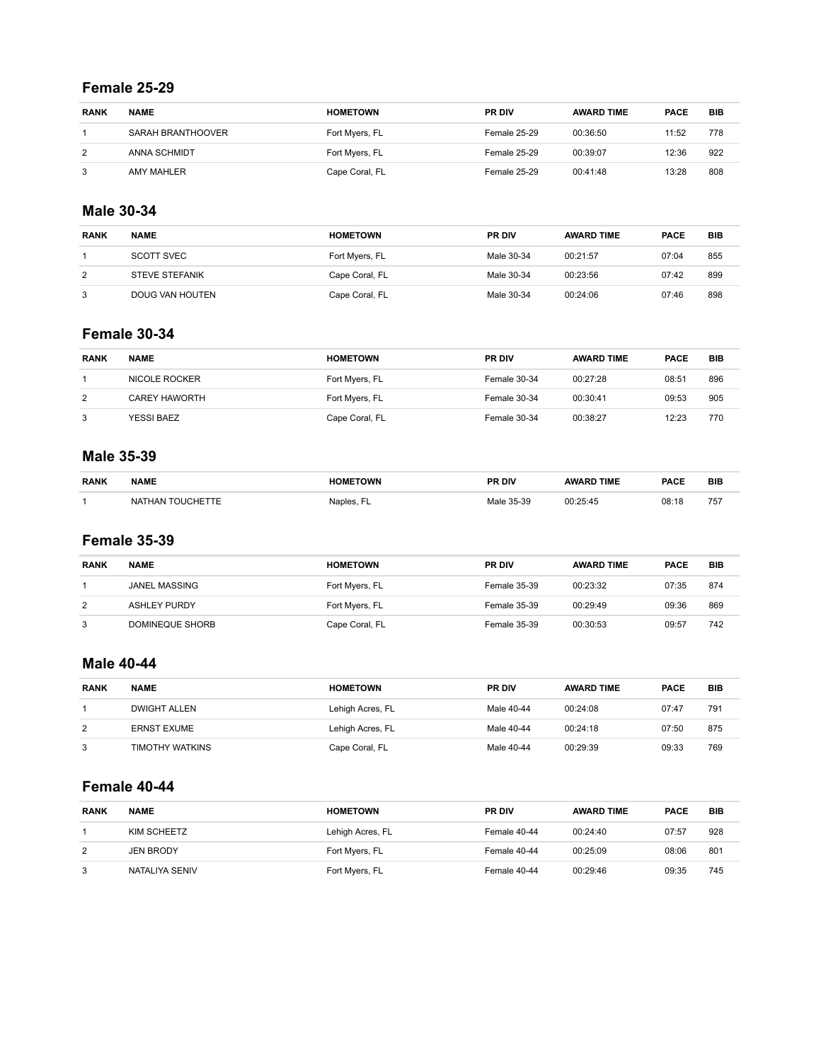#### **Female 25-29**

| <b>RANK</b> | <b>NAME</b>       | <b>HOMETOWN</b> | <b>PR DIV</b>       | <b>AWARD TIME</b> | <b>PACE</b> | <b>BIB</b> |
|-------------|-------------------|-----------------|---------------------|-------------------|-------------|------------|
|             | SARAH BRANTHOOVER | Fort Myers, FL  | <b>Female 25-29</b> | 00:36:50          | 11:52       | 778        |
| 2           | ANNA SCHMIDT      | Fort Myers, FL  | Female 25-29        | 00:39:07          | 12:36       | 922        |
| 3           | AMY MAHLER        | Cape Coral, FL  | Female 25-29        | 00:41:48          | 13:28       | 808        |

### **Male 30-34**

| <b>RANK</b> | <b>NAME</b>           | <b>HOMETOWN</b> | <b>PR DIV</b> | <b>AWARD TIME</b> | <b>PACE</b> | <b>BIB</b> |
|-------------|-----------------------|-----------------|---------------|-------------------|-------------|------------|
|             | SCOTT SVEC            | Fort Myers, FL  | Male 30-34    | 00:21:57          | 07:04       | 855        |
| 2           | <b>STEVE STEFANIK</b> | Cape Coral, FL  | Male 30-34    | 00:23:56          | 07:42       | 899        |
| 3           | DOUG VAN HOUTEN       | Cape Coral, FL  | Male 30-34    | 00:24:06          | 07:46       | 898        |

# **Female 30-34**

| <b>RANK</b> | <b>NAME</b>          | <b>HOMETOWN</b> | <b>PR DIV</b> | <b>AWARD TIME</b> | <b>PACE</b> | <b>BIB</b> |
|-------------|----------------------|-----------------|---------------|-------------------|-------------|------------|
|             | NICOLE ROCKER        | Fort Myers, FL  | Female 30-34  | 00:27:28          | 08:51       | 896        |
| 2           | <b>CAREY HAWORTH</b> | Fort Myers, FL  | Female 30-34  | 00:30:41          | 09:53       | 905        |
| 3           | YESSI BAEZ           | Cape Coral, FL  | Female 30-34  | 00:38:27          | 12:23       | 770        |

### **Male 35-39**

| <b>RANK</b> | <b>NAME</b>                  | าพผ               | PR DIV    | <b>TIME</b> | <b>PACE</b> | <b>BIB</b> |
|-------------|------------------------------|-------------------|-----------|-------------|-------------|------------|
|             | NA1<br>$\sim$<br><b>THAN</b> | Naniec<br>Navico. | 5.30<br>ູ |             | 08:18       | 757        |

### **Female 35-39**

| <b>RANK</b> | <b>NAME</b>         | <b>HOMETOWN</b> | <b>PR DIV</b>       | <b>AWARD TIME</b> | <b>PACE</b> | <b>BIB</b> |
|-------------|---------------------|-----------------|---------------------|-------------------|-------------|------------|
|             | JANEL MASSING       | Fort Myers, FL  | <b>Female 35-39</b> | 00:23:32          | 07:35       | 874        |
| 2           | <b>ASHLEY PURDY</b> | Fort Myers, FL  | Female 35-39        | 00:29:49          | 09:36       | 869        |
| 3           | DOMINEQUE SHORB     | Cape Coral, FL  | <b>Female 35-39</b> | 00:30:53          | 09:57       | 742        |

## **Male 40-44**

| <b>RANK</b> | <b>NAME</b>         | <b>HOMETOWN</b>  | <b>PR DIV</b> | <b>AWARD TIME</b> | <b>PACE</b> | <b>BIB</b> |
|-------------|---------------------|------------------|---------------|-------------------|-------------|------------|
|             | <b>DWIGHT ALLEN</b> | Lehigh Acres, FL | Male 40-44    | 00:24:08          | 07:47       | 791        |
| 2           | <b>ERNST EXUME</b>  | Lehigh Acres, FL | Male 40-44    | 00:24:18          | 07:50       | 875        |
| 3           | TIMOTHY WATKINS     | Cape Coral, FL   | Male 40-44    | 00:29:39          | 09:33       | 769        |

# **Female 40-44**

| <b>RANK</b> | <b>NAME</b>      | <b>HOMETOWN</b>  | <b>PR DIV</b> | <b>AWARD TIME</b> | <b>PACE</b> | <b>BIB</b> |
|-------------|------------------|------------------|---------------|-------------------|-------------|------------|
|             | KIM SCHEETZ      | Lehigh Acres, FL | Female 40-44  | 00:24:40          | 07:57       | 928        |
| 2           | <b>JEN BRODY</b> | Fort Myers, FL   | Female 40-44  | 00:25:09          | 08:06       | 801        |
| 3           | NATALIYA SENIV   | Fort Myers, FL   | Female 40-44  | 00:29:46          | 09:35       | 745        |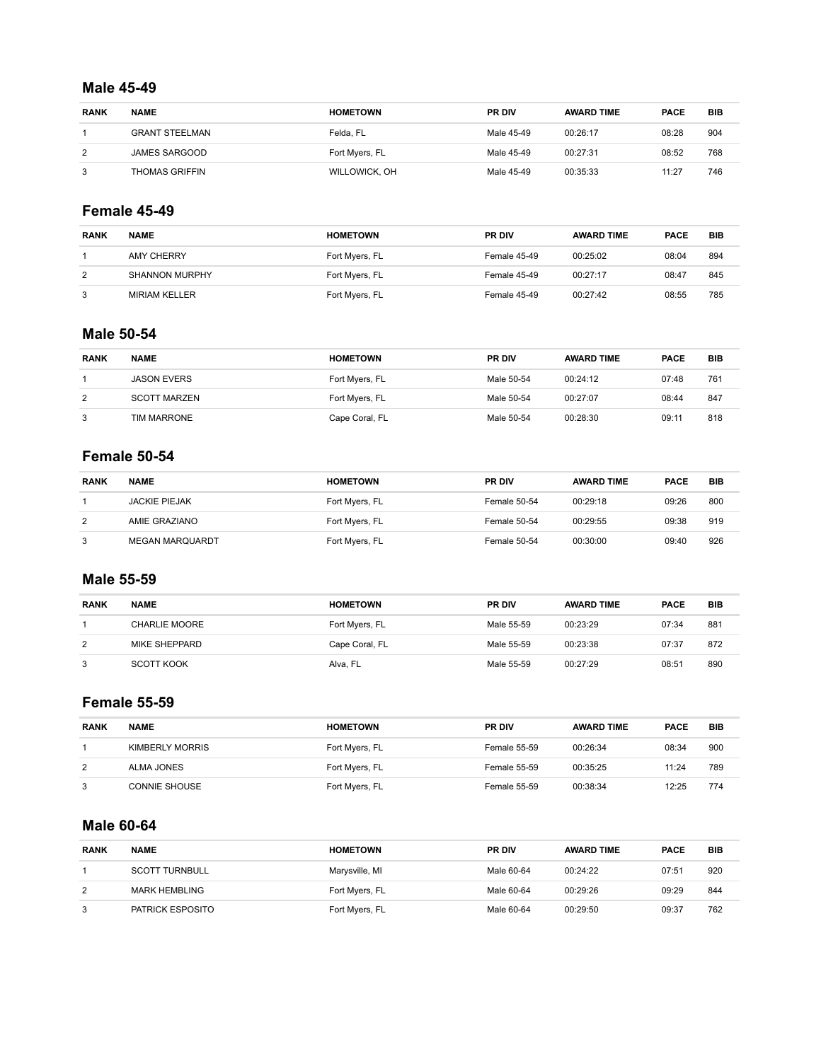#### **Male 45-49**

| <b>RANK</b> | <b>NAME</b>           | <b>HOMETOWN</b> | <b>PR DIV</b> | <b>AWARD TIME</b> | <b>PACE</b> | BIB |
|-------------|-----------------------|-----------------|---------------|-------------------|-------------|-----|
|             | <b>GRANT STEELMAN</b> | Felda. FL       | Male 45-49    | 00:26:17          | 08:28       | 904 |
| 2           | JAMES SARGOOD         | Fort Myers, FL  | Male 45-49    | 00:27:31          | 08:52       | 768 |
| 3           | <b>THOMAS GRIFFIN</b> | WILLOWICK, OH   | Male 45-49    | 00:35:33          | 11:27       | 746 |

### **Female 45-49**

| <b>RANK</b> | <b>NAME</b>           | <b>HOMETOWN</b> | <b>PR DIV</b> | <b>AWARD TIME</b> | <b>PACE</b> | <b>BIB</b> |
|-------------|-----------------------|-----------------|---------------|-------------------|-------------|------------|
|             | AMY CHERRY            | Fort Myers, FL  | Female 45-49  | 00:25:02          | 08:04       | 894        |
| 2           | <b>SHANNON MURPHY</b> | Fort Myers, FL  | Female 45-49  | 00:27:17          | 08:47       | 845        |
| 3           | <b>MIRIAM KELLER</b>  | Fort Myers, FL  | Female 45-49  | 00:27:42          | 08:55       | 785        |

# **Male 50-54**

| <b>RANK</b> | <b>NAME</b>         | <b>HOMETOWN</b> | <b>PR DIV</b> | <b>AWARD TIME</b> | <b>PACE</b> | <b>BIB</b> |
|-------------|---------------------|-----------------|---------------|-------------------|-------------|------------|
|             | <b>JASON EVERS</b>  | Fort Myers, FL  | Male 50-54    | 00:24:12          | 07:48       | 761        |
| 2           | <b>SCOTT MARZEN</b> | Fort Myers, FL  | Male 50-54    | 00:27:07          | 08:44       | 847        |
| 3           | TIM MARRONE         | Cape Coral, FL  | Male 50-54    | 00:28:30          | 09:11       | 818        |

### **Female 50-54**

| <b>RANK</b> | <b>NAME</b>            | <b>HOMETOWN</b> | <b>PR DIV</b> | <b>AWARD TIME</b> | <b>PACE</b> | <b>BIB</b> |
|-------------|------------------------|-----------------|---------------|-------------------|-------------|------------|
|             | <b>JACKIE PIEJAK</b>   | Fort Mvers, FL  | Female 50-54  | 00:29:18          | 09:26       | 800        |
| 2           | AMIE GRAZIANO          | Fort Myers, FL  | Female 50-54  | 00:29:55          | 09:38       | 919        |
| 3           | <b>MEGAN MARQUARDT</b> | Fort Myers, FL  | Female 50-54  | 00:30:00          | 09:40       | 926        |

### **Male 55-59**

| <b>RANK</b> | <b>NAME</b>   | <b>HOMETOWN</b> | <b>PR DIV</b> | <b>AWARD TIME</b> | <b>PACE</b> | <b>BIB</b> |
|-------------|---------------|-----------------|---------------|-------------------|-------------|------------|
|             | CHARLIE MOORE | Fort Myers, FL  | Male 55-59    | 00:23:29          | 07:34       | 881        |
| 2           | MIKE SHEPPARD | Cape Coral, FL  | Male 55-59    | 00:23:38          | 07:37       | 872        |
| 3           | SCOTT KOOK    | Alva, FL        | Male 55-59    | 00:27:29          | 08:51       | 890        |

# **Female 55-59**

| <b>RANK</b> | <b>NAME</b>          | <b>HOMETOWN</b> | <b>PR DIV</b>       | <b>AWARD TIME</b> | <b>PACE</b> | <b>BIB</b> |
|-------------|----------------------|-----------------|---------------------|-------------------|-------------|------------|
|             | KIMBERLY MORRIS      | Fort Mvers, FL  | Female 55-59        | 00:26:34          | 08:34       | 900        |
| 2           | ALMA JONES           | Fort Myers, FL  | <b>Female 55-59</b> | 00:35:25          | 11:24       | 789        |
| 3           | <b>CONNIE SHOUSE</b> | Fort Myers, FL  | <b>Female 55-59</b> | 00:38:34          | 12:25       | 774        |

### **Male 60-64**

| <b>RANK</b> | <b>NAME</b>           | <b>HOMETOWN</b> | PR DIV     | <b>AWARD TIME</b> | <b>PACE</b> | <b>BIB</b> |
|-------------|-----------------------|-----------------|------------|-------------------|-------------|------------|
|             | <b>SCOTT TURNBULL</b> | Marysville, MI  | Male 60-64 | 00:24:22          | 07:5'       | 920        |
| 2           | MARK HEMBLING         | Fort Myers, FL  | Male 60-64 | 00:29:26          | 09:29       | 844        |
|             | PATRICK ESPOSITO      | Fort Myers, FL  | Male 60-64 | 00:29:50          | 09:37       | 762        |